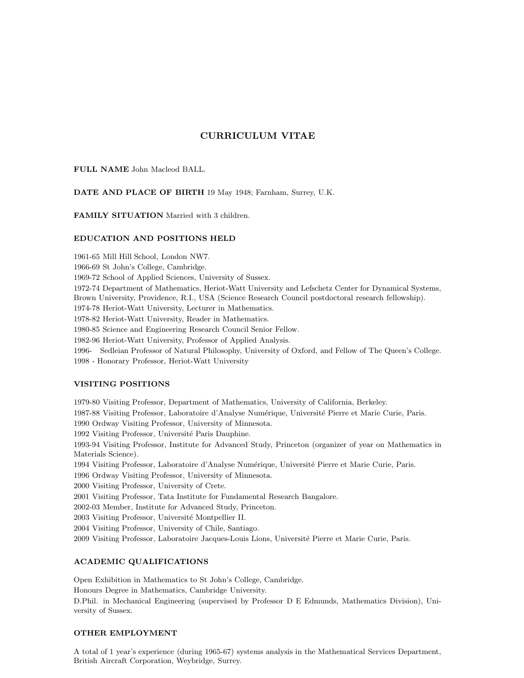# CURRICULUM VITAE

# FULL NAME John Macleod BALL.

# DATE AND PLACE OF BIRTH 19 May 1948; Farnham, Surrey, U.K.

FAMILY SITUATION Married with 3 children.

### EDUCATION AND POSITIONS HELD

1961-65 Mill Hill School, London NW7. 1966-69 St John's College, Cambridge. 1969-72 School of Applied Sciences, University of Sussex. 1972-74 Department of Mathematics, Heriot-Watt University and Lefschetz Center for Dynamical Systems, Brown University, Providence, R.I., USA (Science Research Council postdoctoral research fellowship). 1974-78 Heriot-Watt University, Lecturer in Mathematics. 1978-82 Heriot-Watt University, Reader in Mathematics. 1980-85 Science and Engineering Research Council Senior Fellow. 1982-96 Heriot-Watt University, Professor of Applied Analysis. 1996- Sedleian Professor of Natural Philosophy, University of Oxford, and Fellow of The Queen's College. 1998 - Honorary Professor, Heriot-Watt University

# VISITING POSITIONS

1979-80 Visiting Professor, Department of Mathematics, University of California, Berkeley. 1987-88 Visiting Professor, Laboratoire d'Analyse Numérique, Université Pierre et Marie Curie, Paris. 1990 Ordway Visiting Professor, University of Minnesota. 1992 Visiting Professor, Université Paris Dauphine. 1993-94 Visiting Professor, Institute for Advanced Study, Princeton (organizer of year on Mathematics in Materials Science). 1994 Visiting Professor, Laboratoire d'Analyse Numérique, Université Pierre et Marie Curie, Paris. 1996 Ordway Visiting Professor, University of Minnesota. 2000 Visiting Professor, University of Crete. 2001 Visiting Professor, Tata Institute for Fundamental Research Bangalore. 2002-03 Member, Institute for Advanced Study, Princeton. 2003 Visiting Professor, Université Montpellier II. 2004 Visiting Professor, University of Chile, Santiago. 2009 Visiting Professor, Laboratoire Jacques-Louis Lions, Université Pierre et Marie Curie, Paris.

# ACADEMIC QUALIFICATIONS

Open Exhibition in Mathematics to St John's College, Cambridge. Honours Degree in Mathematics, Cambridge University. D.Phil. in Mechanical Engineering (supervised by Professor D E Edmunds, Mathematics Division), University of Sussex.

### OTHER EMPLOYMENT

A total of 1 year's experience (during 1965-67) systems analysis in the Mathematical Services Department, British Aircraft Corporation, Weybridge, Surrey.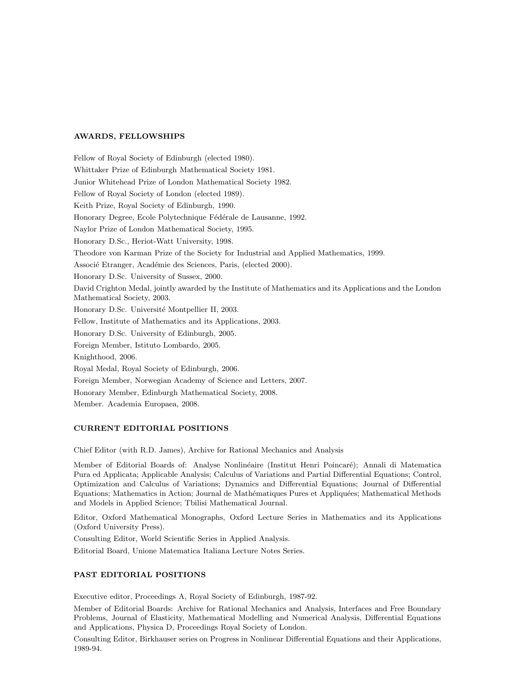#### AWARDS, FELLOWSHIPS

Fellow of Royal Society of Edinburgh (elected 1980). Whittaker Prize of Edinburgh Mathematical Society 1981. Junior Whitehead Prize of London Mathematical Society 1982. Fellow of Royal Society of London (elected 1989). Keith Prize, Royal Society of Edinburgh, 1990. Honorary Degree, Ecole Polytechnique Fédérale de Lausanne, 1992. Naylor Prize of London Mathematical Society, 1995. Honorary D.Sc., Heriot-Watt University, 1998. Theodore von Karman Prize of the Society for Industrial and Applied Mathematics, 1999. Associé Etranger, Académie des Sciences, Paris, (elected 2000). Honorary D.Sc. University of Sussex, 2000. David Crighton Medal, jointly awarded by the Institute of Mathematics and its Applications and the London Mathematical Society, 2003. Honorary D.Sc. Université Montpellier II, 2003. Fellow, Institute of Mathematics and its Applications, 2003. Honorary D.Sc. University of Edinburgh, 2005. Foreign Member, Istituto Lombardo, 2005. Knighthood, 2006. Royal Medal, Royal Society of Edinburgh, 2006. Foreign Member, Norwegian Academy of Science and Letters, 2007. Honorary Member, Edinburgh Mathematical Society, 2008. Member. Academia Europaea, 2008.

# CURRENT EDITORIAL POSITIONS

Chief Editor (with R.D. James), Archive for Rational Mechanics and Analysis

Member of Editorial Boards of: Analyse Nonlinéaire (Institut Henri Poincaré); Annali di Matematica Pura ed Applicata; Applicable Analysis; Calculus of Variations and Partial Differential Equations; Control, Optimization and Calculus of Variations; Dynamics and Differential Equations; Journal of Differential Equations; Mathematics in Action; Journal de Mathématiques Pures et Appliquées; Mathematical Methods and Models in Applied Science; Tbilisi Mathematical Journal.

Editor, Oxford Mathematical Monographs, Oxford Lecture Series in Mathematics and its Applications (Oxford University Press).

Consulting Editor, World Scientific Series in Applied Analysis.

Editorial Board, Unione Matematica Italiana Lecture Notes Series.

# PAST EDITORIAL POSITIONS

Executive editor, Proceedings A, Royal Society of Edinburgh, 1987-92.

Member of Editorial Boards: Archive for Rational Mechanics and Analysis, Interfaces and Free Boundary Problems, Journal of Elasticity, Mathematical Modelling and Numerical Analysis, Differential Equations and Applications, Physica D, Proceedings Royal Society of London.

Consulting Editor, Birkhauser series on Progress in Nonlinear Differential Equations and their Applications, 1989-94.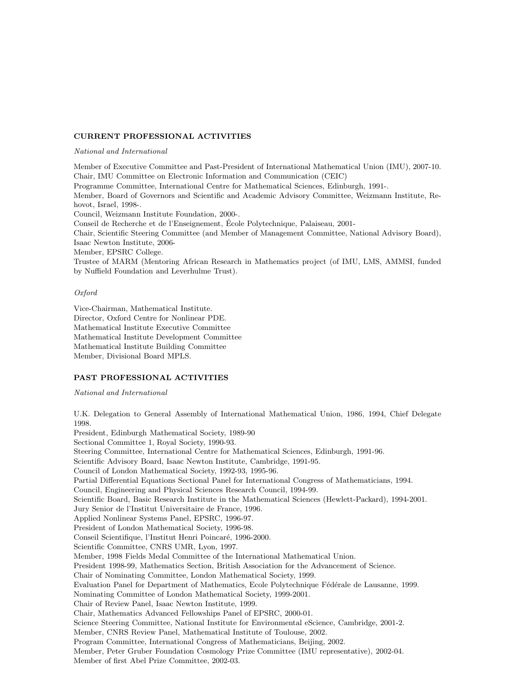#### CURRENT PROFESSIONAL ACTIVITIES

#### National and International

Member of Executive Committee and Past-President of International Mathematical Union (IMU), 2007-10. Chair, IMU Committee on Electronic Information and Communication (CEIC) Programme Committee, International Centre for Mathematical Sciences, Edinburgh, 1991-. Member, Board of Governors and Scientific and Academic Advisory Committee, Weizmann Institute, Rehovot, Israel, 1998-. Council, Weizmann Institute Foundation, 2000-. Conseil de Recherche et de l'Enseignement, Ecole Polytechnique, Palaiseau, 2001- ´ Chair, Scientific Steering Committee (and Member of Management Committee, National Advisory Board), Isaac Newton Institute, 2006- Member, EPSRC College. Trustee of MARM (Mentoring African Research in Mathematics project (of IMU, LMS, AMMSI, funded by Nuffield Foundation and Leverhulme Trust).

# Oxford

Vice-Chairman, Mathematical Institute. Director, Oxford Centre for Nonlinear PDE. Mathematical Institute Executive Committee Mathematical Institute Development Committee Mathematical Institute Building Committee Member, Divisional Board MPLS.

# PAST PROFESSIONAL ACTIVITIES

National and International

U.K. Delegation to General Assembly of International Mathematical Union, 1986, 1994, Chief Delegate 1998.

President, Edinburgh Mathematical Society, 1989-90 Sectional Committee 1, Royal Society, 1990-93. Steering Committee, International Centre for Mathematical Sciences, Edinburgh, 1991-96. Scientific Advisory Board, Isaac Newton Institute, Cambridge, 1991-95. Council of London Mathematical Society, 1992-93, 1995-96. Partial Differential Equations Sectional Panel for International Congress of Mathematicians, 1994. Council, Engineering and Physical Sciences Research Council, 1994-99. Scientific Board, Basic Research Institute in the Mathematical Sciences (Hewlett-Packard), 1994-2001. Jury Senior de l'Institut Universitaire de France, 1996. Applied Nonlinear Systems Panel, EPSRC, 1996-97. President of London Mathematical Society, 1996-98. Conseil Scientifique, l'Institut Henri Poincaré, 1996-2000. Scientific Committee, CNRS UMR, Lyon, 1997. Member, 1998 Fields Medal Committee of the International Mathematical Union. President 1998-99, Mathematics Section, British Association for the Advancement of Science. Chair of Nominating Committee, London Mathematical Society, 1999. Evaluation Panel for Department of Mathematics, Ecole Polytechnique Fédérale de Lausanne, 1999. Nominating Committee of London Mathematical Society, 1999-2001. Chair of Review Panel, Isaac Newton Institute, 1999. Chair, Mathematics Advanced Fellowships Panel of EPSRC, 2000-01. Science Steering Committee, National Institute for Environmental eScience, Cambridge, 2001-2. Member, CNRS Review Panel, Mathematical Institute of Toulouse, 2002. Program Committee, International Congress of Mathematicians, Beijing, 2002. Member, Peter Gruber Foundation Cosmology Prize Committee (IMU representative), 2002-04. Member of first Abel Prize Committee, 2002-03.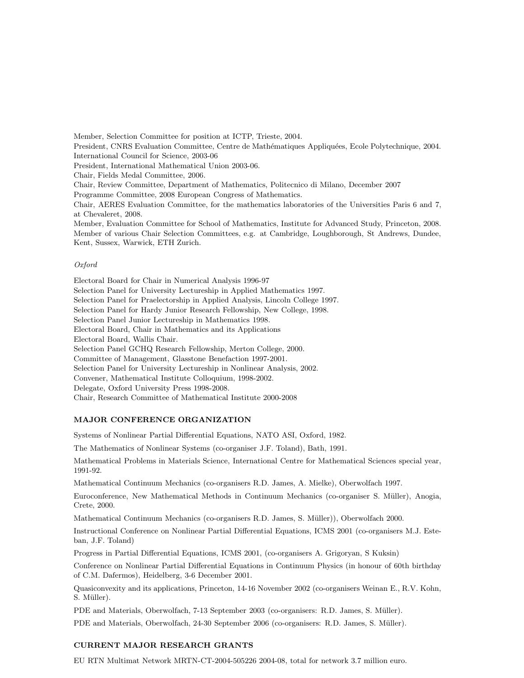Member, Selection Committee for position at ICTP, Trieste, 2004. President, CNRS Evaluation Committee, Centre de Mathématiques Appliquées, Ecole Polytechnique, 2004. International Council for Science, 2003-06 President, International Mathematical Union 2003-06. Chair, Fields Medal Committee, 2006. Chair, Review Committee, Department of Mathematics, Politecnico di Milano, December 2007 Programme Committee, 2008 European Congress of Mathematics. Chair, AERES Evaluation Committee, for the mathematics laboratories of the Universities Paris 6 and 7, at Chevaleret, 2008. Member, Evaluation Committee for School of Mathematics, Institute for Advanced Study, Princeton, 2008. Member of various Chair Selection Committees, e.g. at Cambridge, Loughborough, St Andrews, Dundee, Kent, Sussex, Warwick, ETH Zurich.

#### Oxford

Electoral Board for Chair in Numerical Analysis 1996-97 Selection Panel for University Lectureship in Applied Mathematics 1997. Selection Panel for Praelectorship in Applied Analysis, Lincoln College 1997. Selection Panel for Hardy Junior Research Fellowship, New College, 1998. Selection Panel Junior Lectureship in Mathematics 1998. Electoral Board, Chair in Mathematics and its Applications Electoral Board, Wallis Chair. Selection Panel GCHQ Research Fellowship, Merton College, 2000. Committee of Management, Glasstone Benefaction 1997-2001. Selection Panel for University Lectureship in Nonlinear Analysis, 2002. Convener, Mathematical Institute Colloquium, 1998-2002. Delegate, Oxford University Press 1998-2008. Chair, Research Committee of Mathematical Institute 2000-2008

#### MAJOR CONFERENCE ORGANIZATION

Systems of Nonlinear Partial Differential Equations, NATO ASI, Oxford, 1982.

The Mathematics of Nonlinear Systems (co-organiser J.F. Toland), Bath, 1991.

Mathematical Problems in Materials Science, International Centre for Mathematical Sciences special year, 1991-92.

Mathematical Continuum Mechanics (co-organisers R.D. James, A. Mielke), Oberwolfach 1997.

Euroconference, New Mathematical Methods in Continuum Mechanics (co-organiser S. M¨uller), Anogia, Crete, 2000.

Mathematical Continuum Mechanics (co-organisers R.D. James, S. Müller)), Oberwolfach 2000.

Instructional Conference on Nonlinear Partial Differential Equations, ICMS 2001 (co-organisers M.J. Esteban, J.F. Toland)

Progress in Partial Differential Equations, ICMS 2001, (co-organisers A. Grigoryan, S Kuksin)

Conference on Nonlinear Partial Differential Equations in Continuum Physics (in honour of 60th birthday of C.M. Dafermos), Heidelberg, 3-6 December 2001.

Quasiconvexity and its applications, Princeton, 14-16 November 2002 (co-organisers Weinan E., R.V. Kohn, S. Müller).

PDE and Materials, Oberwolfach, 7-13 September 2003 (co-organisers: R.D. James, S. Müller).

PDE and Materials, Oberwolfach, 24-30 September 2006 (co-organisers: R.D. James, S. M¨uller).

# CURRENT MAJOR RESEARCH GRANTS

EU RTN Multimat Network MRTN-CT-2004-505226 2004-08, total for network 3.7 million euro.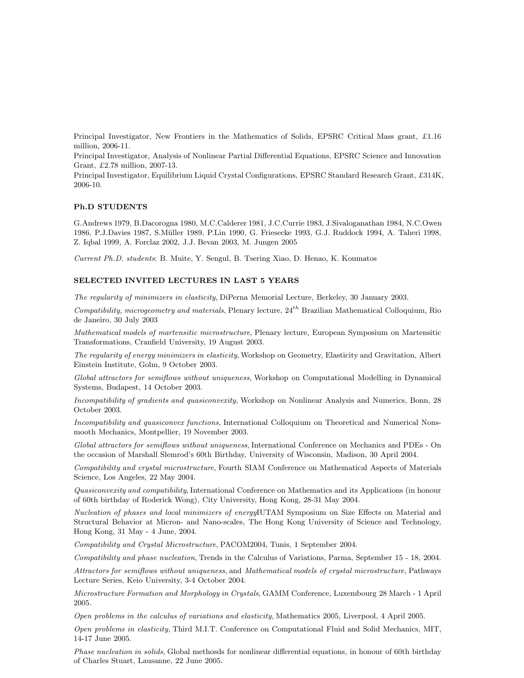Principal Investigator, New Frontiers in the Mathematics of Solids, EPSRC Critical Mass grant, £1.16 million, 2006-11.

Principal Investigator, Analysis of Nonlinear Partial Differential Equations, EPSRC Science and Innovation Grant, £2.78 million, 2007-13.

Principal Investigator, Equilibrium Liquid Crystal Configurations, EPSRC Standard Research Grant, £314K, 2006-10.

#### Ph.D STUDENTS

G.Andrews 1979, B.Dacorogna 1980, M.C.Calderer 1981, J.C.Currie 1983, J.Sivaloganathan 1984, N.C.Owen 1986, P.J.Davies 1987, S.M¨uller 1989, P.Lin 1990, G. Friesecke 1993, G.J. Ruddock 1994, A. Taheri 1998, Z. Iqbal 1999, A. Forclaz 2002, J.J. Bevan 2003, M. Jungen 2005

Current Ph.D. students: B. Muite, Y. Sengul, B. Tsering Xiao, D. Henao, K. Koumatos

# SELECTED INVITED LECTURES IN LAST 5 YEARS

The regularity of minimizers in elasticity, DiPerna Memorial Lecture, Berkeley, 30 January 2003.

Compatibility, microgeometry and materials, Plenary lecture,  $24^{th}$  Brazilian Mathematical Colloquium, Rio de Janeiro, 30 July 2003

Mathematical models of martensitic microstructure, Plenary lecture, European Symposium on Martensitic Transformations, Cranfield University, 19 August 2003.

The regularity of energy minimizers in elasticity, Workshop on Geometry, Elasticity and Gravitation, Albert Einstein Institute, Golm, 9 October 2003.

Global attractors for semiflows without uniqueness, Workshop on Computational Modelling in Dynamical Systems, Budapest, 14 October 2003.

Incompatibility of gradients and quasiconvexity, Workshop on Nonlinear Analysis and Numerics, Bonn, 28 October 2003.

Incompatibility and quasiconvex functions, International Colloquium on Theoretical and Numerical Nonsmooth Mechanics, Montpellier, 19 November 2003.

Global attractors for semiflows without uniqueness, International Conference on Mechanics and PDEs - On the occasion of Marshall Slemrod's 60th Birthday, University of Wisconsin, Madison, 30 April 2004.

Compatibility and crystal microstructure, Fourth SIAM Conference on Mathematical Aspects of Materials Science, Los Angeles, 22 May 2004.

Quasiconvexity and compatibility, International Conference on Mathematics and its Applications (in honour of 60th birthday of Roderick Wong), City University, Hong Kong, 28-31 May 2004.

Nucleation of phases and local minimizers of energyIUTAM Symposium on Size Effects on Material and Structural Behavior at Micron- and Nano-scales, The Hong Kong University of Science and Technology, Hong Kong, 31 May - 4 June, 2004.

Compatibility and Crystal Microstructure, PACOM2004, Tunis, 1 September 2004.

Compatibility and phase nucleation, Trends in the Calculus of Variations, Parma, September 15 - 18, 2004.

Attractors for semiflows without uniqueness, and Mathematical models of crystal microstructure, Pathways Lecture Series, Keio University, 3-4 October 2004.

Microstructure Formation and Morphology in Crystals, GAMM Conference, Luxembourg 28 March - 1 April 2005.

Open problems in the calculus of variations and elasticity, Mathematics 2005, Liverpool, 4 April 2005.

Open problems in elasticity, Third M.I.T. Conference on Computational Fluid and Solid Mechanics, MIT, 14-17 June 2005.

Phase nucleation in solids, Global methosds for nonlinear differential equations, in honour of 60th birthday of Charles Stuart, Lausanne, 22 June 2005.